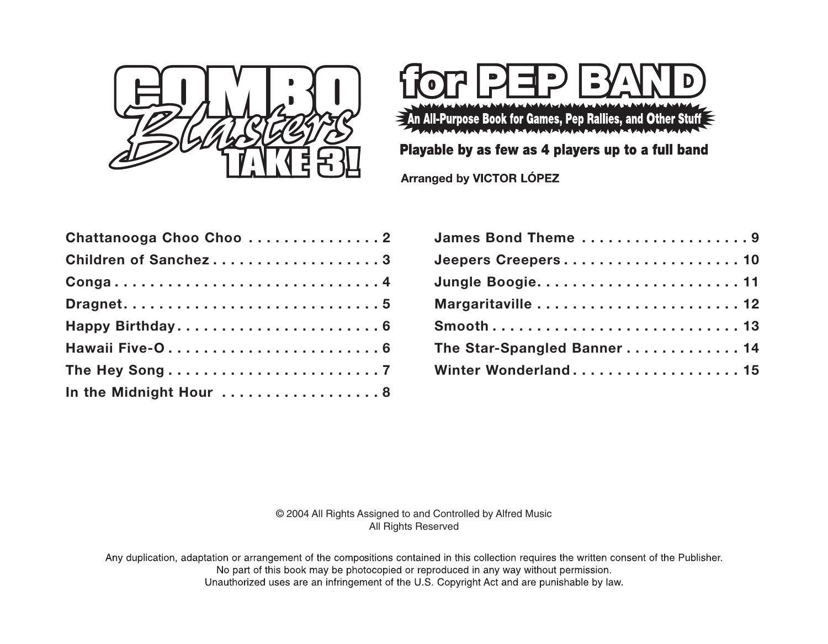



Playable by as few as 4 players up to a full band

Arranged by VICTOR LÓPEZ

| Chattanooga Choo Choo 2                                                  |
|--------------------------------------------------------------------------|
| Children of Sanchez3                                                     |
| $Conga \ldots \ldots \ldots \ldots \ldots \ldots \ldots \ldots \ldots 4$ |
|                                                                          |
|                                                                          |
|                                                                          |
|                                                                          |
| In the Midnight Hour  8                                                  |

| James Bond Theme 9          |
|-----------------------------|
| Jeepers Creepers10          |
|                             |
|                             |
| Smooth13                    |
| The Star-Spangled Banner 14 |
| Winter Wonderland 15        |

© 2004 All Rights Assigned to and Controlled by Alfred Music All Rights Reserved

Any duplication, adaptation or arrangement of the compositions contained in this collection requires the written consent of the Publisher. No part of this book may be photocopied or reproduced in any way without permission. Unauthorized uses are an infringement of the U.S. Copyright Act and are punishable by law.